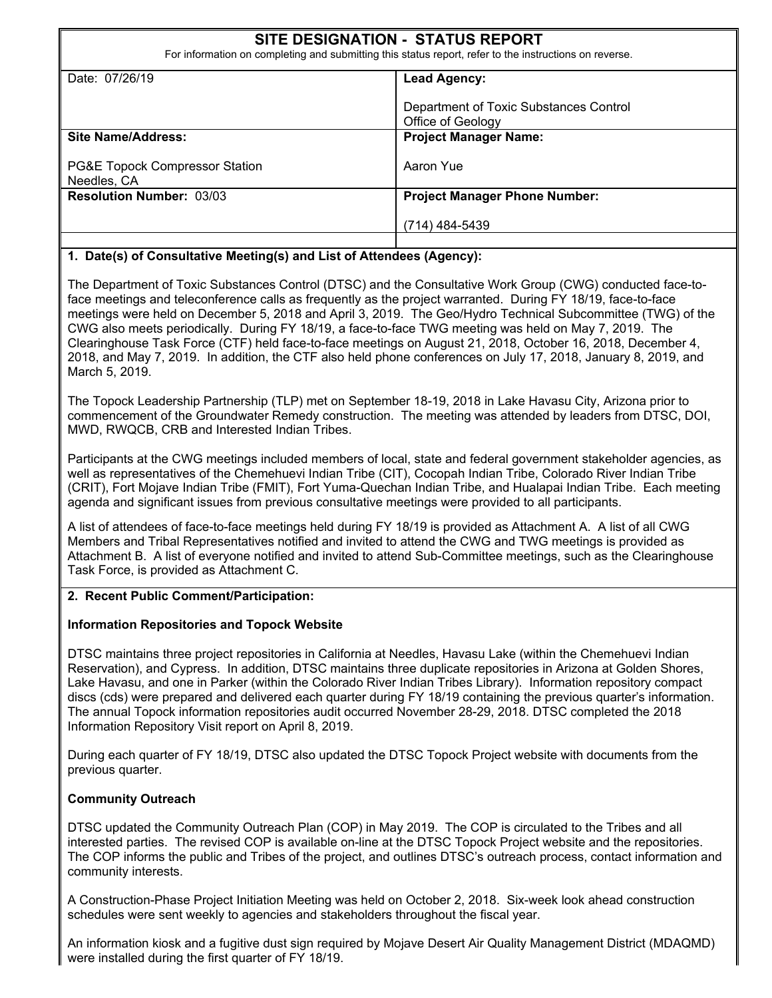# **SITE DESIGNATION - STATUS REPORT**  For information on completing and submitting this status report, refer to the instructions on reverse. Date: 07/26/19 **Lead Agency:** Department of Toxic Substances Control Office of Geology **Site Name/Address:**  PG&E Topock Compressor Station Needles, CA **Project Manager Name:**  Aaron Yue **Resolution Number: 03/03**  Project Manager Phone Number: (714) 484-5439

### **1. Date(s) of Consultative Meeting(s) and List of Attendees (Agency):**

The Department of Toxic Substances Control (DTSC) and the Consultative Work Group (CWG) conducted face-toface meetings and teleconference calls as frequently as the project warranted. During FY 18/19, face-to-face meetings were held on December 5, 2018 and April 3, 2019. The Geo/Hydro Technical Subcommittee (TWG) of the CWG also meets periodically. During FY 18/19, a face-to-face TWG meeting was held on May 7, 2019. The Clearinghouse Task Force (CTF) held face-to-face meetings on August 21, 2018, October 16, 2018, December 4, 2018, and May 7, 2019. In addition, the CTF also held phone conferences on July 17, 2018, January 8, 2019, and March 5, 2019.

The Topock Leadership Partnership (TLP) met on September 18-19, 2018 in Lake Havasu City, Arizona prior to commencement of the Groundwater Remedy construction. The meeting was attended by leaders from DTSC, DOI, MWD, RWQCB, CRB and Interested Indian Tribes.

Participants at the CWG meetings included members of local, state and federal government stakeholder agencies, as well as representatives of the Chemehuevi Indian Tribe (CIT), Cocopah Indian Tribe, Colorado River Indian Tribe (CRIT), Fort Mojave Indian Tribe (FMIT), Fort Yuma-Quechan Indian Tribe, and Hualapai Indian Tribe. Each meeting agenda and significant issues from previous consultative meetings were provided to all participants.

A list of attendees of face-to-face meetings held during FY 18/19 is provided as Attachment A. A list of all CWG Members and Tribal Representatives notified and invited to attend the CWG and TWG meetings is provided as Attachment B. A list of everyone notified and invited to attend Sub-Committee meetings, such as the Clearinghouse Task Force, is provided as Attachment C.

#### **2. Recent Public Comment/Participation:**

#### **Information Repositories and Topock Website**

DTSC maintains three project repositories in California at Needles, Havasu Lake (within the Chemehuevi Indian Reservation), and Cypress. In addition, DTSC maintains three duplicate repositories in Arizona at Golden Shores, Lake Havasu, and one in Parker (within the Colorado River Indian Tribes Library). Information repository compact discs (cds) were prepared and delivered each quarter during FY 18/19 containing the previous quarter's information. The annual Topock information repositories audit occurred November 28-29, 2018. DTSC completed the 2018 Information Repository Visit report on April 8, 2019.

During each quarter of FY 18/19, DTSC also updated the DTSC Topock Project website with documents from the previous quarter.

#### **Community Outreach**

DTSC updated the Community Outreach Plan (COP) in May 2019. The COP is circulated to the Tribes and all interested parties. The revised COP is available on-line at the DTSC Topock Project website and the repositories. The COP informs the public and Tribes of the project, and outlines DTSC's outreach process, contact information and community interests.

A Construction-Phase Project Initiation Meeting was held on October 2, 2018. Six-week look ahead construction schedules were sent weekly to agencies and stakeholders throughout the fiscal year.

An information kiosk and a fugitive dust sign required by Mojave Desert Air Quality Management District (MDAQMD) were installed during the first quarter of FY 18/19.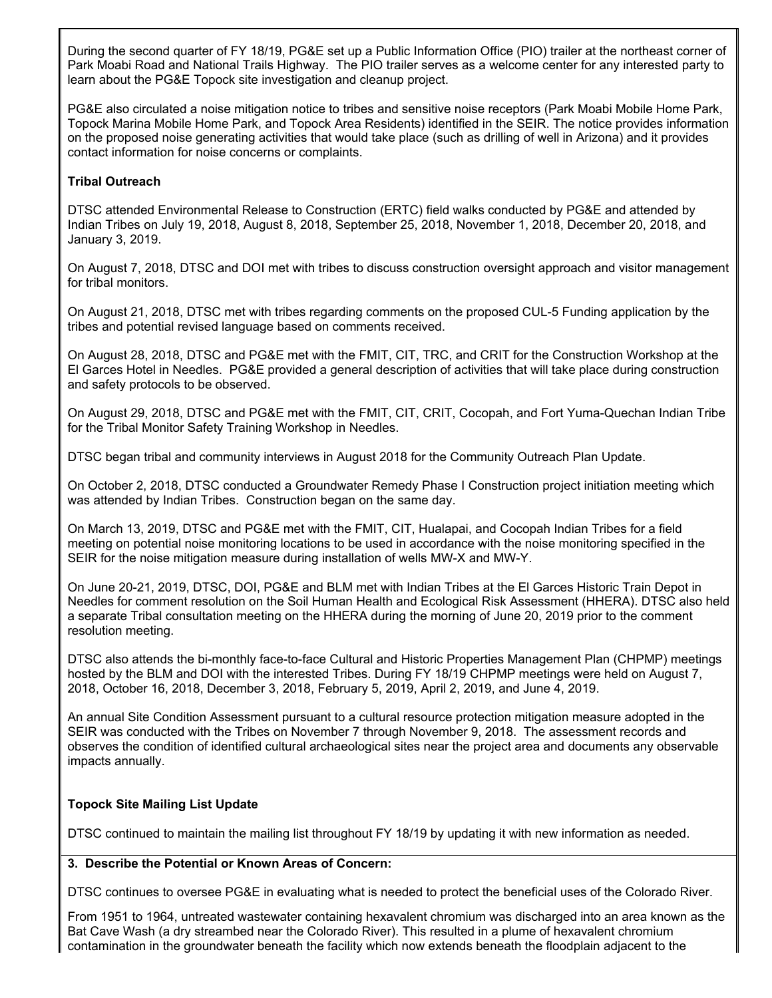During the second quarter of FY 18/19, PG&E set up a Public Information Office (PIO) trailer at the northeast corner of Park Moabi Road and National Trails Highway. The PIO trailer serves as a welcome center for any interested party to learn about the PG&E Topock site investigation and cleanup project.

PG&E also circulated a noise mitigation notice to tribes and sensitive noise receptors (Park Moabi Mobile Home Park, Topock Marina Mobile Home Park, and Topock Area Residents) identified in the SEIR. The notice provides information on the proposed noise generating activities that would take place (such as drilling of well in Arizona) and it provides contact information for noise concerns or complaints.

### **Tribal Outreach**

DTSC attended Environmental Release to Construction (ERTC) field walks conducted by PG&E and attended by Indian Tribes on July 19, 2018, August 8, 2018, September 25, 2018, November 1, 2018, December 20, 2018, and January 3, 2019.

On August 7, 2018, DTSC and DOI met with tribes to discuss construction oversight approach and visitor management for tribal monitors.

On August 21, 2018, DTSC met with tribes regarding comments on the proposed CUL-5 Funding application by the tribes and potential revised language based on comments received.

On August 28, 2018, DTSC and PG&E met with the FMIT, CIT, TRC, and CRIT for the Construction Workshop at the El Garces Hotel in Needles. PG&E provided a general description of activities that will take place during construction and safety protocols to be observed.

On August 29, 2018, DTSC and PG&E met with the FMIT, CIT, CRIT, Cocopah, and Fort Yuma-Quechan Indian Tribe for the Tribal Monitor Safety Training Workshop in Needles.

DTSC began tribal and community interviews in August 2018 for the Community Outreach Plan Update.

On October 2, 2018, DTSC conducted a Groundwater Remedy Phase I Construction project initiation meeting which was attended by Indian Tribes. Construction began on the same day.

On March 13, 2019, DTSC and PG&E met with the FMIT, CIT, Hualapai, and Cocopah Indian Tribes for a field meeting on potential noise monitoring locations to be used in accordance with the noise monitoring specified in the SEIR for the noise mitigation measure during installation of wells MW-X and MW-Y.

On June 20-21, 2019, DTSC, DOI, PG&E and BLM met with Indian Tribes at the El Garces Historic Train Depot in Needles for comment resolution on the Soil Human Health and Ecological Risk Assessment (HHERA). DTSC also held a separate Tribal consultation meeting on the HHERA during the morning of June 20, 2019 prior to the comment resolution meeting.

DTSC also attends the bi-monthly face-to-face Cultural and Historic Properties Management Plan (CHPMP) meetings hosted by the BLM and DOI with the interested Tribes. During FY 18/19 CHPMP meetings were held on August 7, 2018, October 16, 2018, December 3, 2018, February 5, 2019, April 2, 2019, and June 4, 2019.

An annual Site Condition Assessment pursuant to a cultural resource protection mitigation measure adopted in the SEIR was conducted with the Tribes on November 7 through November 9, 2018. The assessment records and observes the condition of identified cultural archaeological sites near the project area and documents any observable impacts annually.

### **Topock Site Mailing List Update**

DTSC continued to maintain the mailing list throughout FY 18/19 by updating it with new information as needed.

#### **3. Describe the Potential or Known Areas of Concern:**

DTSC continues to oversee PG&E in evaluating what is needed to protect the beneficial uses of the Colorado River.

From 1951 to 1964, untreated wastewater containing hexavalent chromium was discharged into an area known as the Bat Cave Wash (a dry streambed near the Colorado River). This resulted in a plume of hexavalent chromium contamination in the groundwater beneath the facility which now extends beneath the floodplain adjacent to the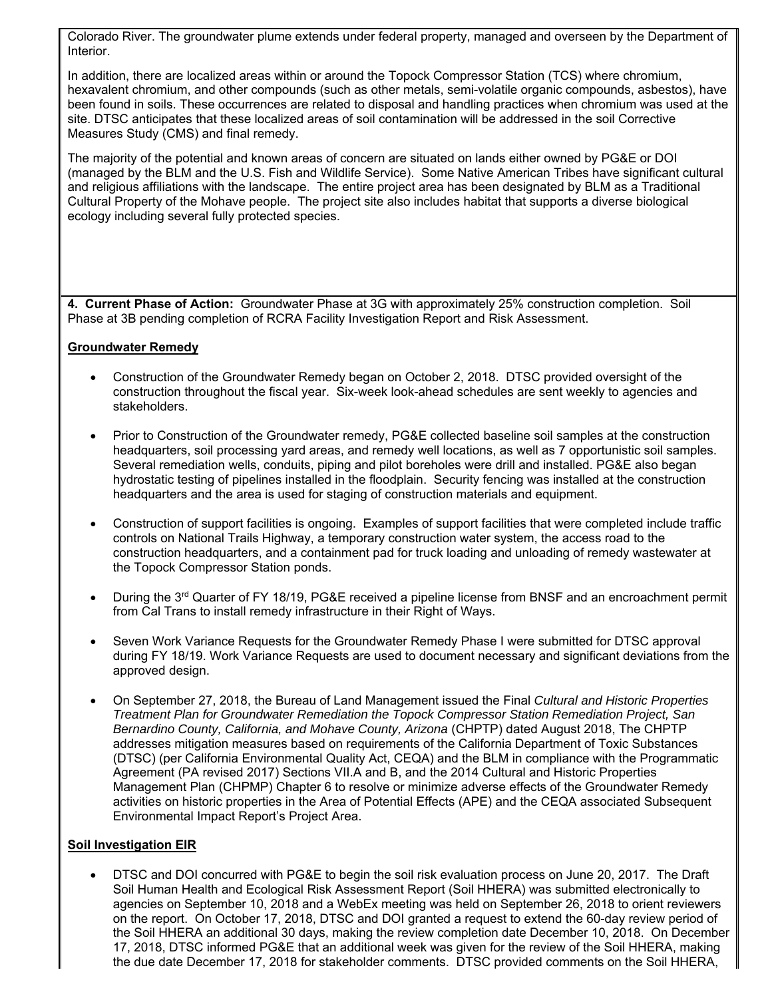Colorado River. The groundwater plume extends under federal property, managed and overseen by the Department of Interior.

In addition, there are localized areas within or around the Topock Compressor Station (TCS) where chromium, hexavalent chromium, and other compounds (such as other metals, semi-volatile organic compounds, asbestos), have been found in soils. These occurrences are related to disposal and handling practices when chromium was used at the site. DTSC anticipates that these localized areas of soil contamination will be addressed in the soil Corrective Measures Study (CMS) and final remedy.

The majority of the potential and known areas of concern are situated on lands either owned by PG&E or DOI (managed by the BLM and the U.S. Fish and Wildlife Service). Some Native American Tribes have significant cultural and religious affiliations with the landscape. The entire project area has been designated by BLM as a Traditional Cultural Property of the Mohave people. The project site also includes habitat that supports a diverse biological ecology including several fully protected species.

**4. Current Phase of Action:** Groundwater Phase at 3G with approximately 25% construction completion. Soil Phase at 3B pending completion of RCRA Facility Investigation Report and Risk Assessment.

#### **Groundwater Remedy**

- Construction of the Groundwater Remedy began on October 2, 2018. DTSC provided oversight of the construction throughout the fiscal year. Six-week look-ahead schedules are sent weekly to agencies and stakeholders.
- Prior to Construction of the Groundwater remedy, PG&E collected baseline soil samples at the construction headquarters, soil processing yard areas, and remedy well locations, as well as 7 opportunistic soil samples. Several remediation wells, conduits, piping and pilot boreholes were drill and installed. PG&E also began hydrostatic testing of pipelines installed in the floodplain. Security fencing was installed at the construction headquarters and the area is used for staging of construction materials and equipment.
- Construction of support facilities is ongoing. Examples of support facilities that were completed include traffic controls on National Trails Highway, a temporary construction water system, the access road to the construction headquarters, and a containment pad for truck loading and unloading of remedy wastewater at the Topock Compressor Station ponds.
- During the 3<sup>rd</sup> Quarter of FY 18/19, PG&E received a pipeline license from BNSF and an encroachment permit from Cal Trans to install remedy infrastructure in their Right of Ways.
- Seven Work Variance Requests for the Groundwater Remedy Phase I were submitted for DTSC approval during FY 18/19. Work Variance Requests are used to document necessary and significant deviations from the approved design.
- On September 27, 2018, the Bureau of Land Management issued the Final *Cultural and Historic Properties Treatment Plan for Groundwater Remediation the Topock Compressor Station Remediation Project, San Bernardino County, California, and Mohave County, Arizona* (CHPTP) dated August 2018, The CHPTP addresses mitigation measures based on requirements of the California Department of Toxic Substances (DTSC) (per California Environmental Quality Act, CEQA) and the BLM in compliance with the Programmatic Agreement (PA revised 2017) Sections VII.A and B, and the 2014 Cultural and Historic Properties Management Plan (CHPMP) Chapter 6 to resolve or minimize adverse effects of the Groundwater Remedy activities on historic properties in the Area of Potential Effects (APE) and the CEQA associated Subsequent Environmental Impact Report's Project Area.

#### **Soil Investigation EIR**

 DTSC and DOI concurred with PG&E to begin the soil risk evaluation process on June 20, 2017. The Draft Soil Human Health and Ecological Risk Assessment Report (Soil HHERA) was submitted electronically to agencies on September 10, 2018 and a WebEx meeting was held on September 26, 2018 to orient reviewers on the report. On October 17, 2018, DTSC and DOI granted a request to extend the 60-day review period of the Soil HHERA an additional 30 days, making the review completion date December 10, 2018. On December 17, 2018, DTSC informed PG&E that an additional week was given for the review of the Soil HHERA, making the due date December 17, 2018 for stakeholder comments. DTSC provided comments on the Soil HHERA,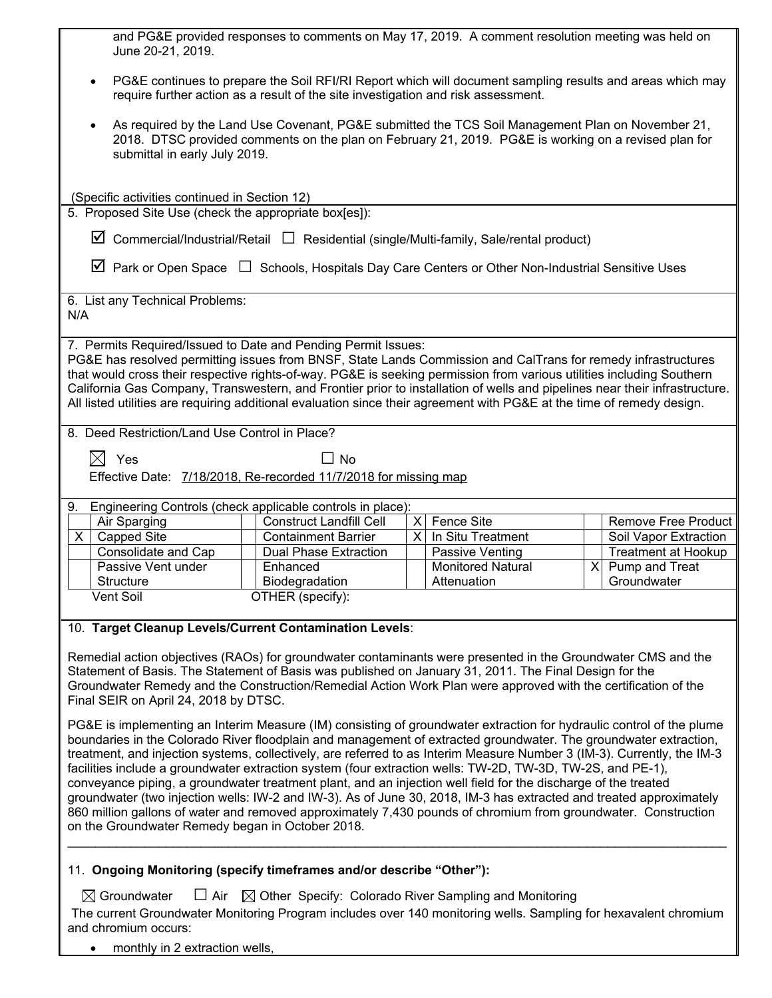| and PG&E provided responses to comments on May 17, 2019. A comment resolution meeting was held on<br>June 20-21, 2019.                                                                                                                                                                                                                                                                                                                                                                                                                                                                                                                                                                                                                                                                                                                                                                           |                                                              |               |                                         |  |                                                     |  |
|--------------------------------------------------------------------------------------------------------------------------------------------------------------------------------------------------------------------------------------------------------------------------------------------------------------------------------------------------------------------------------------------------------------------------------------------------------------------------------------------------------------------------------------------------------------------------------------------------------------------------------------------------------------------------------------------------------------------------------------------------------------------------------------------------------------------------------------------------------------------------------------------------|--------------------------------------------------------------|---------------|-----------------------------------------|--|-----------------------------------------------------|--|
| PG&E continues to prepare the Soil RFI/RI Report which will document sampling results and areas which may<br>$\bullet$<br>require further action as a result of the site investigation and risk assessment.                                                                                                                                                                                                                                                                                                                                                                                                                                                                                                                                                                                                                                                                                      |                                                              |               |                                         |  |                                                     |  |
| As required by the Land Use Covenant, PG&E submitted the TCS Soil Management Plan on November 21,<br>$\bullet$<br>2018. DTSC provided comments on the plan on February 21, 2019. PG&E is working on a revised plan for<br>submittal in early July 2019.                                                                                                                                                                                                                                                                                                                                                                                                                                                                                                                                                                                                                                          |                                                              |               |                                         |  |                                                     |  |
| (Specific activities continued in Section 12)<br>5. Proposed Site Use (check the appropriate box[es]):                                                                                                                                                                                                                                                                                                                                                                                                                                                                                                                                                                                                                                                                                                                                                                                           |                                                              |               |                                         |  |                                                     |  |
| $\boxtimes$ Commercial/Industrial/Retail $\Box$ Residential (single/Multi-family, Sale/rental product)                                                                                                                                                                                                                                                                                                                                                                                                                                                                                                                                                                                                                                                                                                                                                                                           |                                                              |               |                                         |  |                                                     |  |
| $\boxtimes$ Park or Open Space $\Box$ Schools, Hospitals Day Care Centers or Other Non-Industrial Sensitive Uses                                                                                                                                                                                                                                                                                                                                                                                                                                                                                                                                                                                                                                                                                                                                                                                 |                                                              |               |                                         |  |                                                     |  |
| 6. List any Technical Problems:<br>N/A                                                                                                                                                                                                                                                                                                                                                                                                                                                                                                                                                                                                                                                                                                                                                                                                                                                           |                                                              |               |                                         |  |                                                     |  |
| 7. Permits Required/Issued to Date and Pending Permit Issues:<br>PG&E has resolved permitting issues from BNSF, State Lands Commission and CalTrans for remedy infrastructures<br>that would cross their respective rights-of-way. PG&E is seeking permission from various utilities including Southern<br>California Gas Company, Transwestern, and Frontier prior to installation of wells and pipelines near their infrastructure.<br>All listed utilities are requiring additional evaluation since their agreement with PG&E at the time of remedy design.                                                                                                                                                                                                                                                                                                                                  |                                                              |               |                                         |  |                                                     |  |
| 8. Deed Restriction/Land Use Control in Place?                                                                                                                                                                                                                                                                                                                                                                                                                                                                                                                                                                                                                                                                                                                                                                                                                                                   |                                                              |               |                                         |  |                                                     |  |
| $\boxtimes$ Yes<br>$\Box$ No<br>Effective Date: 7/18/2018, Re-recorded 11/7/2018 for missing map                                                                                                                                                                                                                                                                                                                                                                                                                                                                                                                                                                                                                                                                                                                                                                                                 |                                                              |               |                                         |  |                                                     |  |
| 9. Engineering Controls (check applicable controls in place):                                                                                                                                                                                                                                                                                                                                                                                                                                                                                                                                                                                                                                                                                                                                                                                                                                    |                                                              |               |                                         |  |                                                     |  |
| Air Sparging<br><b>Capped Site</b><br>X.                                                                                                                                                                                                                                                                                                                                                                                                                                                                                                                                                                                                                                                                                                                                                                                                                                                         | <b>Construct Landfill Cell</b><br><b>Containment Barrier</b> | $\times$<br>X | Fence Site<br>In Situ Treatment         |  | <b>Remove Free Product</b><br>Soil Vapor Extraction |  |
| Consolidate and Cap                                                                                                                                                                                                                                                                                                                                                                                                                                                                                                                                                                                                                                                                                                                                                                                                                                                                              | <b>Dual Phase Extraction</b>                                 |               | Passive Venting                         |  | <b>Treatment at Hookup</b>                          |  |
| Passive Vent under<br><b>Structure</b>                                                                                                                                                                                                                                                                                                                                                                                                                                                                                                                                                                                                                                                                                                                                                                                                                                                           | Enhanced<br>Biodegradation                                   |               | <b>Monitored Natural</b><br>Attenuation |  | $X$ Pump and Treat<br>Groundwater                   |  |
| Vent Soil                                                                                                                                                                                                                                                                                                                                                                                                                                                                                                                                                                                                                                                                                                                                                                                                                                                                                        | OTHER (specify):                                             |               |                                         |  |                                                     |  |
| 10. Target Cleanup Levels/Current Contamination Levels:                                                                                                                                                                                                                                                                                                                                                                                                                                                                                                                                                                                                                                                                                                                                                                                                                                          |                                                              |               |                                         |  |                                                     |  |
| Remedial action objectives (RAOs) for groundwater contaminants were presented in the Groundwater CMS and the<br>Statement of Basis. The Statement of Basis was published on January 31, 2011. The Final Design for the<br>Groundwater Remedy and the Construction/Remedial Action Work Plan were approved with the certification of the<br>Final SEIR on April 24, 2018 by DTSC.                                                                                                                                                                                                                                                                                                                                                                                                                                                                                                                 |                                                              |               |                                         |  |                                                     |  |
| PG&E is implementing an Interim Measure (IM) consisting of groundwater extraction for hydraulic control of the plume<br>boundaries in the Colorado River floodplain and management of extracted groundwater. The groundwater extraction,<br>treatment, and injection systems, collectively, are referred to as Interim Measure Number 3 (IM-3). Currently, the IM-3<br>facilities include a groundwater extraction system (four extraction wells: TW-2D, TW-3D, TW-2S, and PE-1),<br>conveyance piping, a groundwater treatment plant, and an injection well field for the discharge of the treated<br>groundwater (two injection wells: IW-2 and IW-3). As of June 30, 2018, IM-3 has extracted and treated approximately<br>860 million gallons of water and removed approximately 7,430 pounds of chromium from groundwater. Construction<br>on the Groundwater Remedy began in October 2018. |                                                              |               |                                         |  |                                                     |  |
| 11. Ongoing Monitoring (specify timeframes and/or describe "Other"):                                                                                                                                                                                                                                                                                                                                                                                                                                                                                                                                                                                                                                                                                                                                                                                                                             |                                                              |               |                                         |  |                                                     |  |
| $\Box$ Air<br>$\boxtimes$ Groundwater<br>$\boxtimes$ Other Specify: Colorado River Sampling and Monitoring                                                                                                                                                                                                                                                                                                                                                                                                                                                                                                                                                                                                                                                                                                                                                                                       |                                                              |               |                                         |  |                                                     |  |
| The current Groundwater Monitoring Program includes over 140 monitoring wells. Sampling for hexavalent chromium<br>and chromium occurs:                                                                                                                                                                                                                                                                                                                                                                                                                                                                                                                                                                                                                                                                                                                                                          |                                                              |               |                                         |  |                                                     |  |

 $\mathsf{l}$ 

• monthly in 2 extraction wells,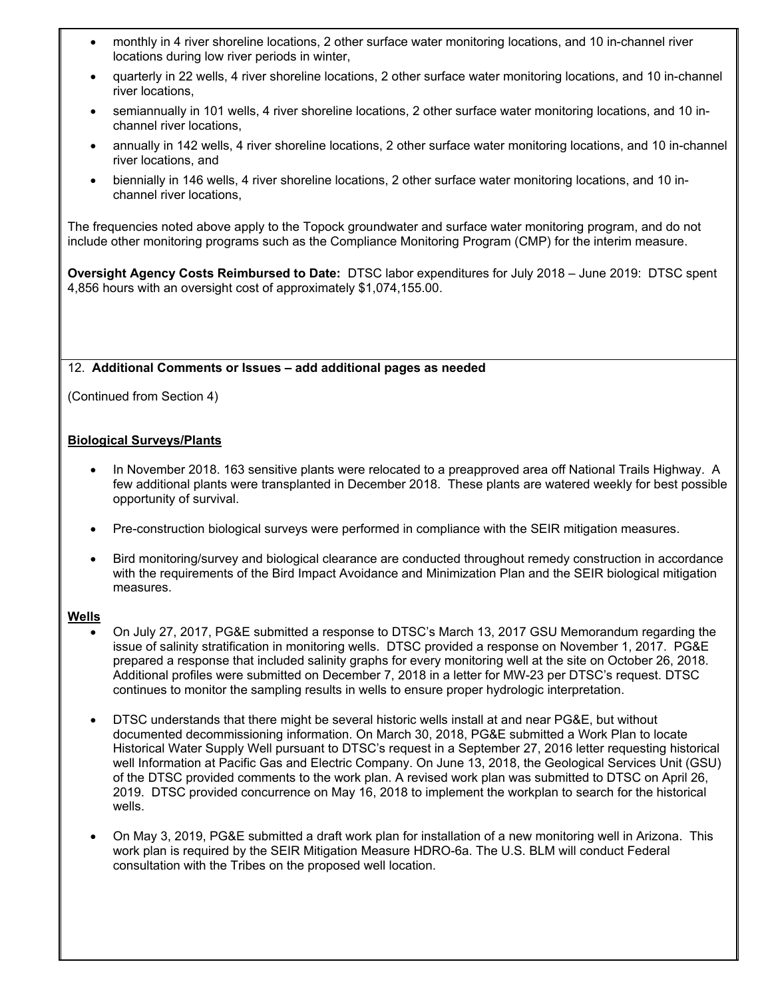- monthly in 4 river shoreline locations, 2 other surface water monitoring locations, and 10 in-channel river locations during low river periods in winter,
- quarterly in 22 wells, 4 river shoreline locations, 2 other surface water monitoring locations, and 10 in-channel river locations,
- semiannually in 101 wells, 4 river shoreline locations, 2 other surface water monitoring locations, and 10 inchannel river locations,
- annually in 142 wells, 4 river shoreline locations, 2 other surface water monitoring locations, and 10 in-channel river locations, and
- biennially in 146 wells, 4 river shoreline locations, 2 other surface water monitoring locations, and 10 inchannel river locations,

The frequencies noted above apply to the Topock groundwater and surface water monitoring program, and do not include other monitoring programs such as the Compliance Monitoring Program (CMP) for the interim measure.

**Oversight Agency Costs Reimbursed to Date:** DTSC labor expenditures for July 2018 – June 2019: DTSC spent 4,856 hours with an oversight cost of approximately \$1,074,155.00.

#### 12. **Additional Comments or Issues – add additional pages as needed**

(Continued from Section 4)

#### **Biological Surveys/Plants**

- In November 2018. 163 sensitive plants were relocated to a preapproved area off National Trails Highway. A few additional plants were transplanted in December 2018. These plants are watered weekly for best possible opportunity of survival.
- Pre-construction biological surveys were performed in compliance with the SEIR mitigation measures.
- Bird monitoring/survey and biological clearance are conducted throughout remedy construction in accordance with the requirements of the Bird Impact Avoidance and Minimization Plan and the SEIR biological mitigation measures.

#### **Wells**

- On July 27, 2017, PG&E submitted a response to DTSC's March 13, 2017 GSU Memorandum regarding the issue of salinity stratification in monitoring wells. DTSC provided a response on November 1, 2017. PG&E prepared a response that included salinity graphs for every monitoring well at the site on October 26, 2018. Additional profiles were submitted on December 7, 2018 in a letter for MW-23 per DTSC's request. DTSC continues to monitor the sampling results in wells to ensure proper hydrologic interpretation.
- DTSC understands that there might be several historic wells install at and near PG&E, but without documented decommissioning information. On March 30, 2018, PG&E submitted a Work Plan to locate Historical Water Supply Well pursuant to DTSC's request in a September 27, 2016 letter requesting historical well Information at Pacific Gas and Electric Company. On June 13, 2018, the Geological Services Unit (GSU) of the DTSC provided comments to the work plan. A revised work plan was submitted to DTSC on April 26, 2019. DTSC provided concurrence on May 16, 2018 to implement the workplan to search for the historical wells.
- On May 3, 2019, PG&E submitted a draft work plan for installation of a new monitoring well in Arizona. This work plan is required by the SEIR Mitigation Measure HDRO-6a. The U.S. BLM will conduct Federal consultation with the Tribes on the proposed well location.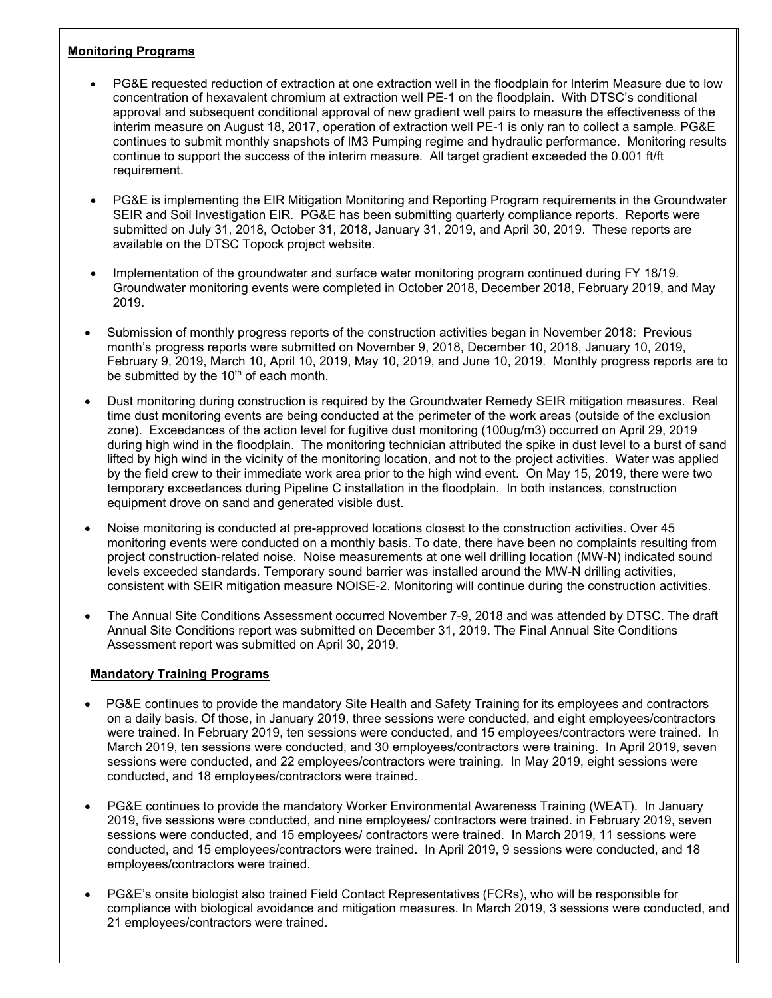### **Monitoring Programs**

- PG&E requested reduction of extraction at one extraction well in the floodplain for Interim Measure due to low concentration of hexavalent chromium at extraction well PE-1 on the floodplain. With DTSC's conditional approval and subsequent conditional approval of new gradient well pairs to measure the effectiveness of the interim measure on August 18, 2017, operation of extraction well PE-1 is only ran to collect a sample. PG&E continues to submit monthly snapshots of IM3 Pumping regime and hydraulic performance. Monitoring results continue to support the success of the interim measure. All target gradient exceeded the 0.001 ft/ft requirement.
- PG&E is implementing the EIR Mitigation Monitoring and Reporting Program requirements in the Groundwater SEIR and Soil Investigation EIR. PG&E has been submitting quarterly compliance reports. Reports were submitted on July 31, 2018, October 31, 2018, January 31, 2019, and April 30, 2019. These reports are available on the DTSC Topock project website.
- Implementation of the groundwater and surface water monitoring program continued during FY 18/19. Groundwater monitoring events were completed in October 2018, December 2018, February 2019, and May 2019.
- Submission of monthly progress reports of the construction activities began in November 2018: Previous month's progress reports were submitted on November 9, 2018, December 10, 2018, January 10, 2019, February 9, 2019, March 10, April 10, 2019, May 10, 2019, and June 10, 2019. Monthly progress reports are to be submitted by the  $10<sup>th</sup>$  of each month.
- Dust monitoring during construction is required by the Groundwater Remedy SEIR mitigation measures. Real time dust monitoring events are being conducted at the perimeter of the work areas (outside of the exclusion zone). Exceedances of the action level for fugitive dust monitoring (100ug/m3) occurred on April 29, 2019 during high wind in the floodplain. The monitoring technician attributed the spike in dust level to a burst of sand lifted by high wind in the vicinity of the monitoring location, and not to the project activities. Water was applied by the field crew to their immediate work area prior to the high wind event. On May 15, 2019, there were two temporary exceedances during Pipeline C installation in the floodplain. In both instances, construction equipment drove on sand and generated visible dust.
- Noise monitoring is conducted at pre-approved locations closest to the construction activities. Over 45 monitoring events were conducted on a monthly basis. To date, there have been no complaints resulting from project construction-related noise. Noise measurements at one well drilling location (MW-N) indicated sound levels exceeded standards. Temporary sound barrier was installed around the MW-N drilling activities, consistent with SEIR mitigation measure NOISE-2. Monitoring will continue during the construction activities.
- The Annual Site Conditions Assessment occurred November 7-9, 2018 and was attended by DTSC. The draft Annual Site Conditions report was submitted on December 31, 2019. The Final Annual Site Conditions Assessment report was submitted on April 30, 2019.

#### **Mandatory Training Programs**

- PG&E continues to provide the mandatory Site Health and Safety Training for its employees and contractors on a daily basis. Of those, in January 2019, three sessions were conducted, and eight employees/contractors were trained. In February 2019, ten sessions were conducted, and 15 employees/contractors were trained. In March 2019, ten sessions were conducted, and 30 employees/contractors were training. In April 2019, seven sessions were conducted, and 22 employees/contractors were training. In May 2019, eight sessions were conducted, and 18 employees/contractors were trained.
- PG&E continues to provide the mandatory Worker Environmental Awareness Training (WEAT). In January 2019, five sessions were conducted, and nine employees/ contractors were trained. in February 2019, seven sessions were conducted, and 15 employees/ contractors were trained. In March 2019, 11 sessions were conducted, and 15 employees/contractors were trained. In April 2019, 9 sessions were conducted, and 18 employees/contractors were trained.
- PG&E's onsite biologist also trained Field Contact Representatives (FCRs), who will be responsible for compliance with biological avoidance and mitigation measures. In March 2019, 3 sessions were conducted, and 21 employees/contractors were trained.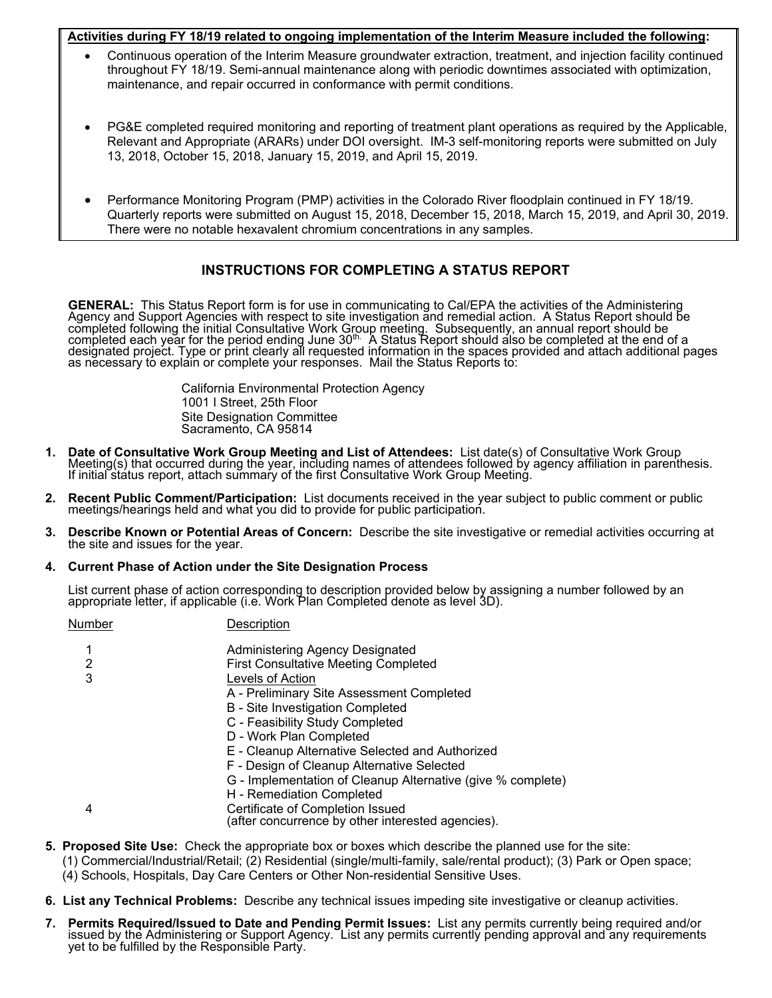#### **Activities during FY 18/19 related to ongoing implementation of the Interim Measure included the following:**

- Continuous operation of the Interim Measure groundwater extraction, treatment, and injection facility continued throughout FY 18/19. Semi-annual maintenance along with periodic downtimes associated with optimization, maintenance, and repair occurred in conformance with permit conditions.
- PG&E completed required monitoring and reporting of treatment plant operations as required by the Applicable, Relevant and Appropriate (ARARs) under DOI oversight. IM-3 self-monitoring reports were submitted on July 13, 2018, October 15, 2018, January 15, 2019, and April 15, 2019.
- Performance Monitoring Program (PMP) activities in the Colorado River floodplain continued in FY 18/19. Quarterly reports were submitted on August 15, 2018, December 15, 2018, March 15, 2019, and April 30, 2019. There were no notable hexavalent chromium concentrations in any samples.

### **INSTRUCTIONS FOR COMPLETING A STATUS REPORT**

**GENERAL:** This Status Report form is for use in communicating to Cal/EPA the activities of the Administering Agency and Support Agencies with respect to site investigation and remedial action. A Status Report should be co

California Environmental Protection Agency 1001 I Street, 25th Floor Site Designation Committee Sacramento, CA 95814

- 1. Date of Consultative Work Group Meeting and List of Attendees: List date(s) of Consultative Work Group<br>Meeting(s) that occurred during the year, including names of attendees followed by agency affiliation in parenthesis
- **2. Recent Public Comment/Participation:** List documents received in the year subject to public comment or public meetings/hearings held and what you did to provide for public participation.
- **3. Describe Known or Potential Areas of Concern:** Describe the site investigative or remedial activities occurring at the site and issues for the year.

#### **4. Current Phase of Action under the Site Designation Process**

List current phase of action corresponding to description provided below by assigning a number followed by an<br>appropriate letter, if applicable (i.e. Work Plan Completed denote as level 3D).

| Description                                                                           |
|---------------------------------------------------------------------------------------|
| Administering Agency Designated                                                       |
| <b>First Consultative Meeting Completed</b>                                           |
| Levels of Action                                                                      |
| A - Preliminary Site Assessment Completed                                             |
| <b>B</b> - Site Investigation Completed                                               |
| C - Feasibility Study Completed                                                       |
| D - Work Plan Completed                                                               |
| E - Cleanup Alternative Selected and Authorized                                       |
| F - Design of Cleanup Alternative Selected                                            |
| G - Implementation of Cleanup Alternative (give % complete)                           |
| H - Remediation Completed                                                             |
| Certificate of Completion Issued<br>(after concurrence by other interested agencies). |
|                                                                                       |

- **5. Proposed Site Use:** Check the appropriate box or boxes which describe the planned use for the site:
	- (1) Commercial/Industrial/Retail; (2) Residential (single/multi-family, sale/rental product); (3) Park or Open space; (4) Schools, Hospitals, Day Care Centers or Other Non-residential Sensitive Uses.
- **6. List any Technical Problems:** Describe any technical issues impeding site investigative or cleanup activities.
- 7. Permits Required/Issued to Date and Pending Permit Issues: List any permits currently being required and/or<br>issued by the Administering or Support Agency. List any permits currently pending approval and any requirements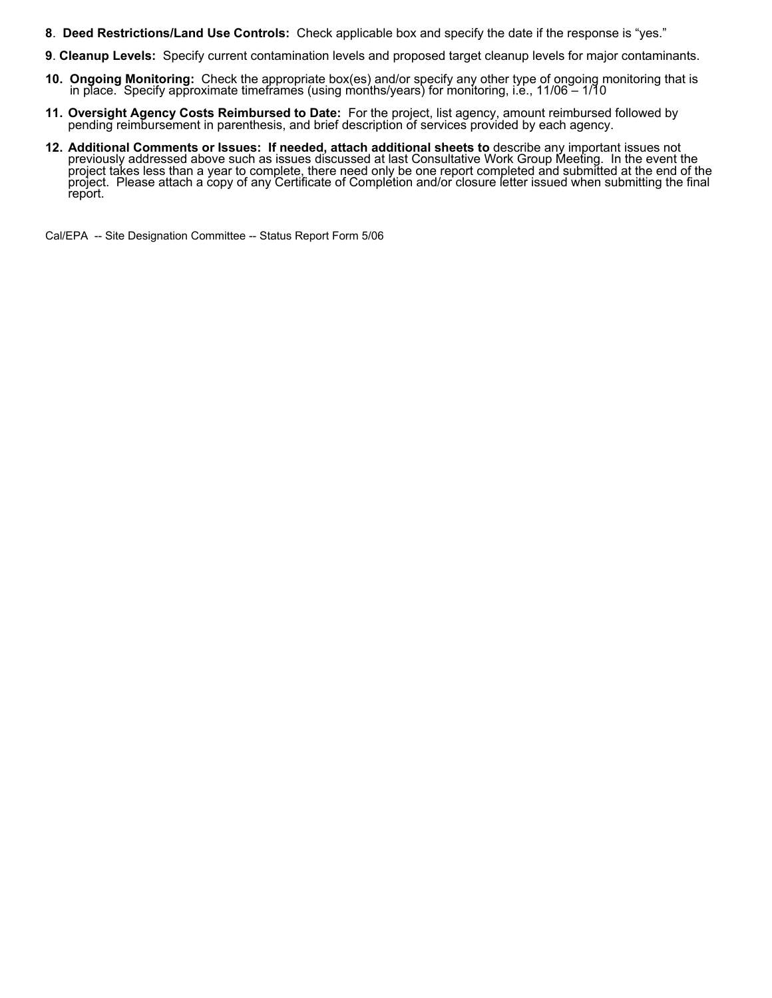- **8**. **Deed Restrictions/Land Use Controls:** Check applicable box and specify the date if the response is "yes."
- **9**. **Cleanup Levels:** Specify current contamination levels and proposed target cleanup levels for major contaminants.
- **10. Ongoing Monitoring:** Check the appropriate box(es) and/or specify any other type of ongoing monitoring that is in place. Specify approximate timeframes (using months/years) for monitoring, i.e., 11/06 1/10
- **11. Oversight Agency Costs Reimbursed to Date:** For the project, list agency, amount reimbursed followed by pending reimbursement in parenthesis, and brief description of services provided by each agency.
- **12. Additional Comments or Issues: If needed, attach additional sheets to** describe any important issues not previously addressed above such as issues discussed at last Consultative Work Group Meeting. In the event the pr project. Please attach a copy of any Certificate of Completion and/or closure letter issued when submitting the final<br>report.

Cal/EPA -- Site Designation Committee -- Status Report Form 5/06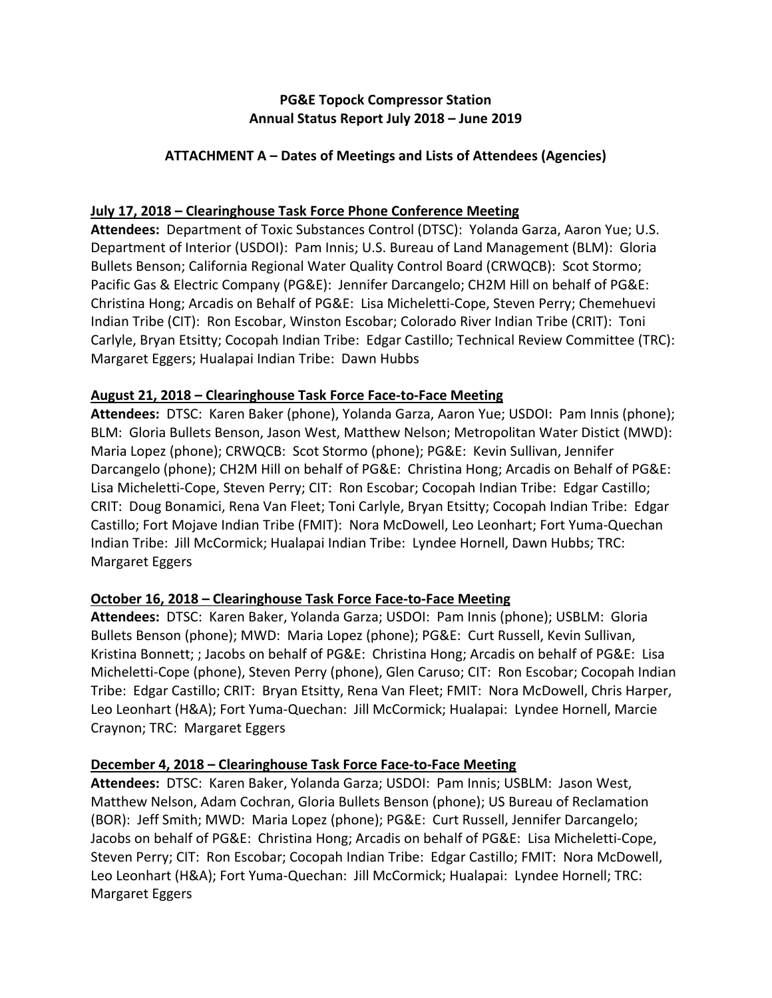# **PG&E Topock Compressor Station Annual Status Report July 2018 – June 2019**

# **ATTACHMENT A – Dates of Meetings and Lists of Attendees (Agencies)**

# **July 17, 2018 – Clearinghouse Task Force Phone Conference Meeting**

**Attendees:** Department of Toxic Substances Control (DTSC): Yolanda Garza, Aaron Yue; U.S. Department of Interior (USDOI): Pam Innis; U.S. Bureau of Land Management (BLM): Gloria Bullets Benson; California Regional Water Quality Control Board (CRWQCB): Scot Stormo; Pacific Gas & Electric Company (PG&E): Jennifer Darcangelo; CH2M Hill on behalf of PG&E: Christina Hong; Arcadis on Behalf of PG&E: Lisa Micheletti‐Cope, Steven Perry; Chemehuevi Indian Tribe (CIT): Ron Escobar, Winston Escobar; Colorado River Indian Tribe (CRIT): Toni Carlyle, Bryan Etsitty; Cocopah Indian Tribe: Edgar Castillo; Technical Review Committee (TRC): Margaret Eggers; Hualapai Indian Tribe: Dawn Hubbs

# **August 21, 2018 – Clearinghouse Task Force Face‐to‐Face Meeting**

Attendees: DTSC: Karen Baker (phone), Yolanda Garza, Aaron Yue; USDOI: Pam Innis (phone); BLM: Gloria Bullets Benson, Jason West, Matthew Nelson; Metropolitan Water Distict (MWD): Maria Lopez (phone); CRWQCB: Scot Stormo (phone); PG&E: Kevin Sullivan, Jennifer Darcangelo (phone); CH2M Hill on behalf of PG&E: Christina Hong; Arcadis on Behalf of PG&E: Lisa Micheletti-Cope, Steven Perry; CIT: Ron Escobar; Cocopah Indian Tribe: Edgar Castillo; CRIT: Doug Bonamici, Rena Van Fleet; Toni Carlyle, Bryan Etsitty; Cocopah Indian Tribe: Edgar Castillo; Fort Mojave Indian Tribe (FMIT): Nora McDowell, Leo Leonhart; Fort Yuma‐Quechan Indian Tribe: Jill McCormick; Hualapai Indian Tribe: Lyndee Hornell, Dawn Hubbs; TRC: Margaret Eggers

# **October 16, 2018 – Clearinghouse Task Force Face‐to‐Face Meeting**

Attendees: DTSC: Karen Baker, Yolanda Garza; USDOI: Pam Innis (phone); USBLM: Gloria Bullets Benson (phone); MWD: Maria Lopez (phone); PG&E: Curt Russell, Kevin Sullivan, Kristina Bonnett; ; Jacobs on behalf of PG&E: Christina Hong; Arcadis on behalf of PG&E: Lisa Micheletti-Cope (phone), Steven Perry (phone), Glen Caruso; CIT: Ron Escobar; Cocopah Indian Tribe: Edgar Castillo; CRIT: Bryan Etsitty, Rena Van Fleet; FMIT: Nora McDowell, Chris Harper, Leo Leonhart (H&A); Fort Yuma‐Quechan: Jill McCormick; Hualapai: Lyndee Hornell, Marcie Craynon; TRC: Margaret Eggers

# **December 4, 2018 – Clearinghouse Task Force Face‐to‐Face Meeting**

Attendees: DTSC: Karen Baker, Yolanda Garza; USDOI: Pam Innis; USBLM: Jason West, Matthew Nelson, Adam Cochran, Gloria Bullets Benson (phone); US Bureau of Reclamation (BOR): Jeff Smith; MWD: Maria Lopez (phone); PG&E: Curt Russell, Jennifer Darcangelo; Jacobs on behalf of PG&E: Christina Hong; Arcadis on behalf of PG&E: Lisa Micheletti‐Cope, Steven Perry; CIT: Ron Escobar; Cocopah Indian Tribe: Edgar Castillo; FMIT: Nora McDowell, Leo Leonhart (H&A); Fort Yuma‐Quechan: Jill McCormick; Hualapai: Lyndee Hornell; TRC: Margaret Eggers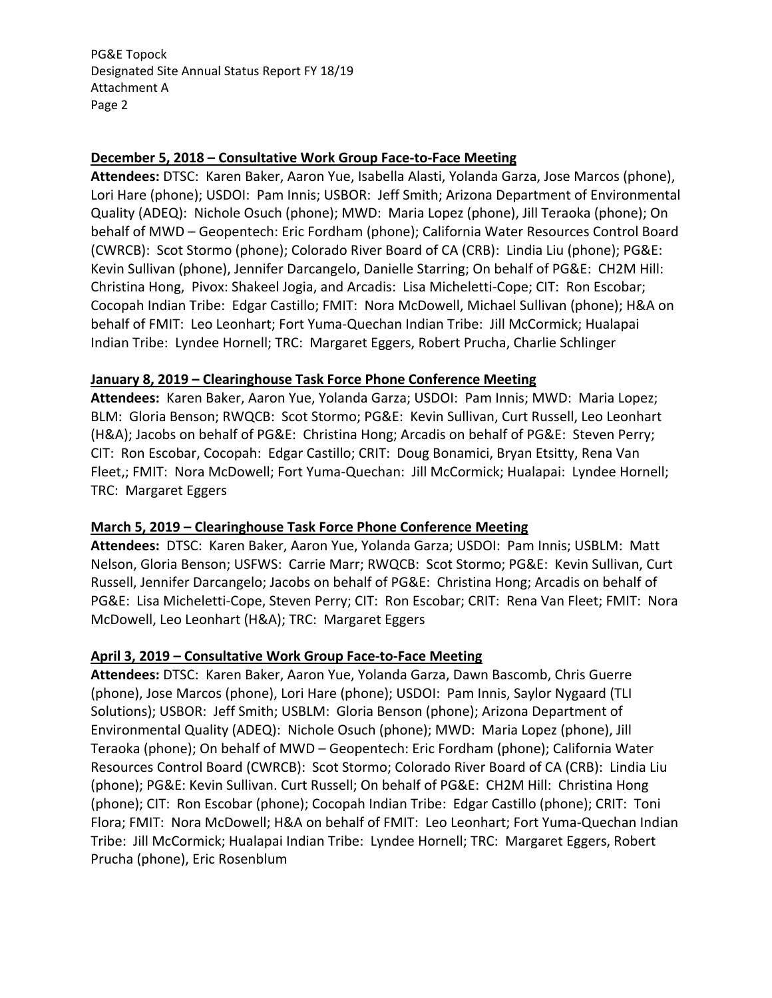PG&E Topock Designated Site Annual Status Report FY 18/19 Attachment A Page 2

### **December 5, 2018 – Consultative Work Group Face‐to‐Face Meeting**

**Attendees:** DTSC: Karen Baker, Aaron Yue, Isabella Alasti, Yolanda Garza, Jose Marcos (phone), Lori Hare (phone); USDOI: Pam Innis; USBOR: Jeff Smith; Arizona Department of Environmental Quality (ADEQ): Nichole Osuch (phone); MWD: Maria Lopez (phone), Jill Teraoka (phone); On behalf of MWD – Geopentech: Eric Fordham (phone); California Water Resources Control Board (CWRCB): Scot Stormo (phone); Colorado River Board of CA (CRB): Lindia Liu (phone); PG&E: Kevin Sullivan (phone), Jennifer Darcangelo, Danielle Starring; On behalf of PG&E: CH2M Hill: Christina Hong, Pivox: Shakeel Jogia, and Arcadis: Lisa Micheletti‐Cope; CIT: Ron Escobar; Cocopah Indian Tribe: Edgar Castillo; FMIT: Nora McDowell, Michael Sullivan (phone); H&A on behalf of FMIT: Leo Leonhart; Fort Yuma‐Quechan Indian Tribe: Jill McCormick; Hualapai Indian Tribe: Lyndee Hornell; TRC: Margaret Eggers, Robert Prucha, Charlie Schlinger

### **January 8, 2019 – Clearinghouse Task Force Phone Conference Meeting**

**Attendees:** Karen Baker, Aaron Yue, Yolanda Garza; USDOI: Pam Innis; MWD: Maria Lopez; BLM: Gloria Benson; RWQCB: Scot Stormo; PG&E: Kevin Sullivan, Curt Russell, Leo Leonhart (H&A); Jacobs on behalf of PG&E: Christina Hong; Arcadis on behalf of PG&E: Steven Perry; CIT: Ron Escobar, Cocopah: Edgar Castillo; CRIT: Doug Bonamici, Bryan Etsitty, Rena Van Fleet,; FMIT: Nora McDowell; Fort Yuma‐Quechan: Jill McCormick; Hualapai: Lyndee Hornell; TRC: Margaret Eggers

### **March 5, 2019 – Clearinghouse Task Force Phone Conference Meeting**

Attendees: DTSC: Karen Baker, Aaron Yue, Yolanda Garza; USDOI: Pam Innis; USBLM: Matt Nelson, Gloria Benson; USFWS: Carrie Marr; RWQCB: Scot Stormo; PG&E: Kevin Sullivan, Curt Russell, Jennifer Darcangelo; Jacobs on behalf of PG&E: Christina Hong; Arcadis on behalf of PG&E: Lisa Micheletti‐Cope, Steven Perry; CIT: Ron Escobar; CRIT: Rena Van Fleet; FMIT: Nora McDowell, Leo Leonhart (H&A); TRC: Margaret Eggers

### **April 3, 2019 – Consultative Work Group Face‐to‐Face Meeting**

**Attendees:** DTSC: Karen Baker, Aaron Yue, Yolanda Garza, Dawn Bascomb, Chris Guerre (phone), Jose Marcos (phone), Lori Hare (phone); USDOI: Pam Innis, Saylor Nygaard (TLI Solutions); USBOR: Jeff Smith; USBLM: Gloria Benson (phone); Arizona Department of Environmental Quality (ADEQ): Nichole Osuch (phone); MWD: Maria Lopez (phone), Jill Teraoka (phone); On behalf of MWD – Geopentech: Eric Fordham (phone); California Water Resources Control Board (CWRCB): Scot Stormo; Colorado River Board of CA (CRB): Lindia Liu (phone); PG&E: Kevin Sullivan. Curt Russell; On behalf of PG&E: CH2M Hill: Christina Hong (phone); CIT: Ron Escobar (phone); Cocopah Indian Tribe: Edgar Castillo (phone); CRIT: Toni Flora; FMIT: Nora McDowell; H&A on behalf of FMIT: Leo Leonhart; Fort Yuma‐Quechan Indian Tribe: Jill McCormick; Hualapai Indian Tribe: Lyndee Hornell; TRC: Margaret Eggers, Robert Prucha (phone), Eric Rosenblum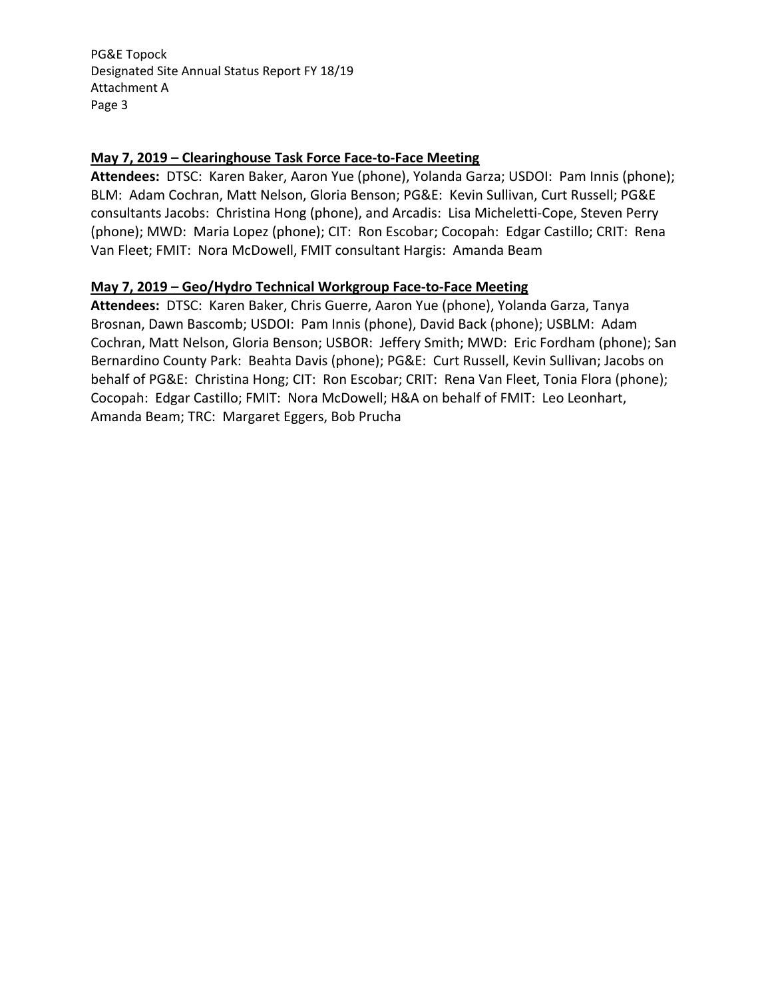PG&E Topock Designated Site Annual Status Report FY 18/19 Attachment A Page 3

### **May 7, 2019 – Clearinghouse Task Force Face‐to‐Face Meeting**

Attendees: DTSC: Karen Baker, Aaron Yue (phone), Yolanda Garza; USDOI: Pam Innis (phone); BLM: Adam Cochran, Matt Nelson, Gloria Benson; PG&E: Kevin Sullivan, Curt Russell; PG&E consultants Jacobs: Christina Hong (phone), and Arcadis: Lisa Micheletti‐Cope, Steven Perry (phone); MWD: Maria Lopez (phone); CIT: Ron Escobar; Cocopah: Edgar Castillo; CRIT: Rena Van Fleet; FMIT: Nora McDowell, FMIT consultant Hargis: Amanda Beam

### **May 7, 2019 – Geo/Hydro Technical Workgroup Face‐to‐Face Meeting**

Attendees: DTSC: Karen Baker, Chris Guerre, Aaron Yue (phone), Yolanda Garza, Tanya Brosnan, Dawn Bascomb; USDOI: Pam Innis (phone), David Back (phone); USBLM: Adam Cochran, Matt Nelson, Gloria Benson; USBOR: Jeffery Smith; MWD: Eric Fordham (phone); San Bernardino County Park: Beahta Davis (phone); PG&E: Curt Russell, Kevin Sullivan; Jacobs on behalf of PG&E: Christina Hong; CIT: Ron Escobar; CRIT: Rena Van Fleet, Tonia Flora (phone); Cocopah: Edgar Castillo; FMIT: Nora McDowell; H&A on behalf of FMIT: Leo Leonhart, Amanda Beam; TRC: Margaret Eggers, Bob Prucha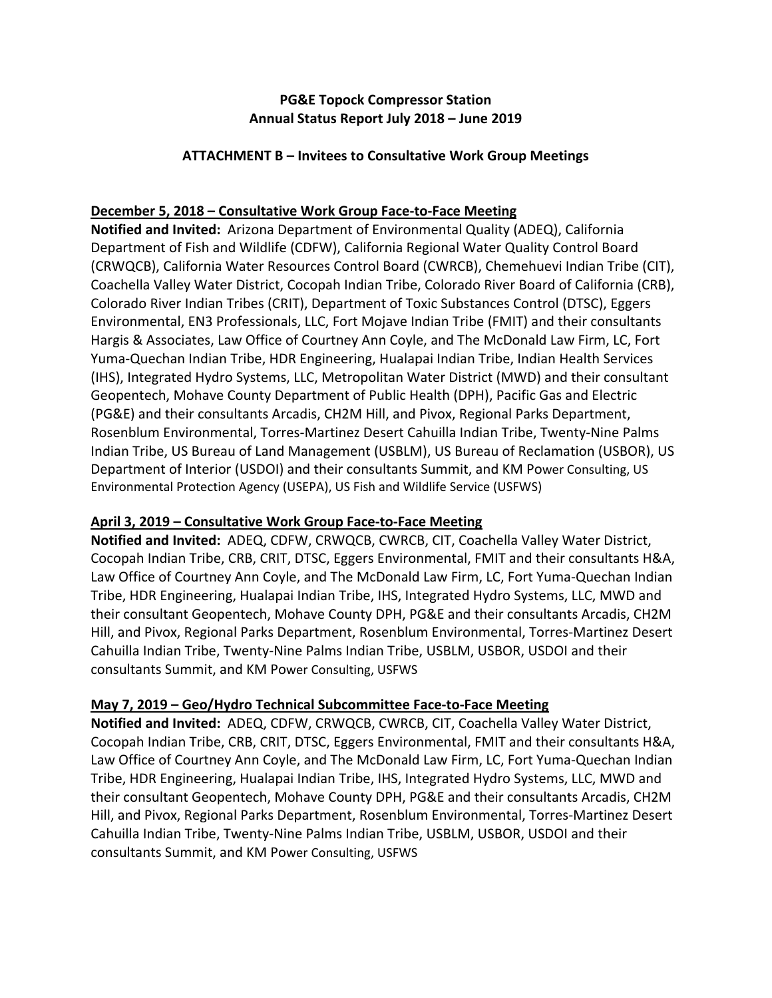# **PG&E Topock Compressor Station Annual Status Report July 2018 – June 2019**

### **ATTACHMENT B – Invitees to Consultative Work Group Meetings**

# **December 5, 2018 – Consultative Work Group Face‐to‐Face Meeting**

**Notified and Invited:** Arizona Department of Environmental Quality (ADEQ), California Department of Fish and Wildlife (CDFW), California Regional Water Quality Control Board (CRWQCB), California Water Resources Control Board (CWRCB), Chemehuevi Indian Tribe (CIT), Coachella Valley Water District, Cocopah Indian Tribe, Colorado River Board of California (CRB), Colorado River Indian Tribes (CRIT), Department of Toxic Substances Control (DTSC), Eggers Environmental, EN3 Professionals, LLC, Fort Mojave Indian Tribe (FMIT) and their consultants Hargis & Associates, Law Office of Courtney Ann Coyle, and The McDonald Law Firm, LC, Fort Yuma‐Quechan Indian Tribe, HDR Engineering, Hualapai Indian Tribe, Indian Health Services (IHS), Integrated Hydro Systems, LLC, Metropolitan Water District (MWD) and their consultant Geopentech, Mohave County Department of Public Health (DPH), Pacific Gas and Electric (PG&E) and their consultants Arcadis, CH2M Hill, and Pivox, Regional Parks Department, Rosenblum Environmental, Torres‐Martinez Desert Cahuilla Indian Tribe, Twenty‐Nine Palms Indian Tribe, US Bureau of Land Management (USBLM), US Bureau of Reclamation (USBOR), US Department of Interior (USDOI) and their consultants Summit, and KM Power Consulting, US Environmental Protection Agency (USEPA), US Fish and Wildlife Service (USFWS)

# **April 3, 2019 – Consultative Work Group Face‐to‐Face Meeting**

**Notified and Invited:** ADEQ, CDFW, CRWQCB, CWRCB, CIT, Coachella Valley Water District, Cocopah Indian Tribe, CRB, CRIT, DTSC, Eggers Environmental, FMIT and their consultants H&A, Law Office of Courtney Ann Coyle, and The McDonald Law Firm, LC, Fort Yuma-Quechan Indian Tribe, HDR Engineering, Hualapai Indian Tribe, IHS, Integrated Hydro Systems, LLC, MWD and their consultant Geopentech, Mohave County DPH, PG&E and their consultants Arcadis, CH2M Hill, and Pivox, Regional Parks Department, Rosenblum Environmental, Torres‐Martinez Desert Cahuilla Indian Tribe, Twenty‐Nine Palms Indian Tribe, USBLM, USBOR, USDOI and their consultants Summit, and KM Power Consulting, USFWS

# **May 7, 2019 – Geo/Hydro Technical Subcommittee Face‐to‐Face Meeting**

**Notified and Invited:** ADEQ, CDFW, CRWQCB, CWRCB, CIT, Coachella Valley Water District, Cocopah Indian Tribe, CRB, CRIT, DTSC, Eggers Environmental, FMIT and their consultants H&A, Law Office of Courtney Ann Coyle, and The McDonald Law Firm, LC, Fort Yuma-Quechan Indian Tribe, HDR Engineering, Hualapai Indian Tribe, IHS, Integrated Hydro Systems, LLC, MWD and their consultant Geopentech, Mohave County DPH, PG&E and their consultants Arcadis, CH2M Hill, and Pivox, Regional Parks Department, Rosenblum Environmental, Torres‐Martinez Desert Cahuilla Indian Tribe, Twenty‐Nine Palms Indian Tribe, USBLM, USBOR, USDOI and their consultants Summit, and KM Power Consulting, USFWS